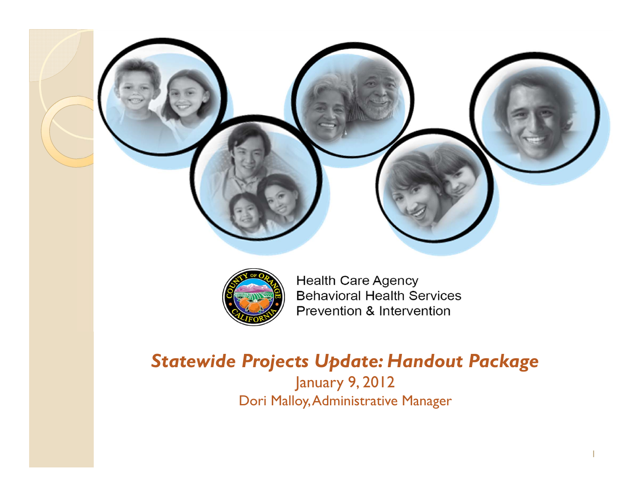



**Health Care Agency Behavioral Health Services** Prevention & Intervention

J.

## *Statewide Projects Update: Handout Package*

January 9, 2012 Dori Malloy, Administrative Manager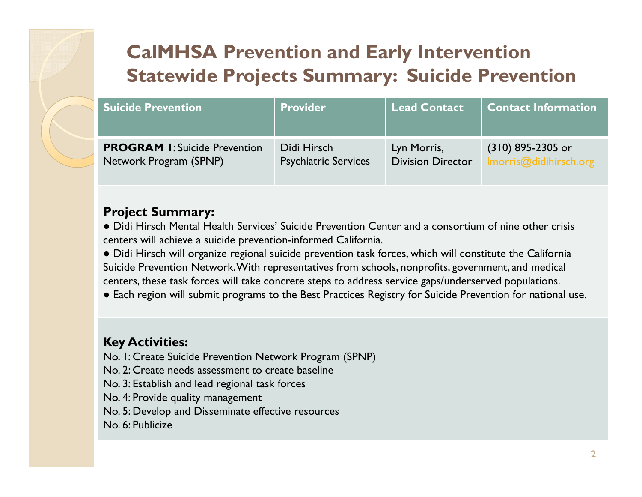| <b>Suicide Prevention</b>            | <b>Provider</b>             | Lead Contact             | <b>Contact Information</b> |
|--------------------------------------|-----------------------------|--------------------------|----------------------------|
| <b>PROGRAM I: Suicide Prevention</b> | Didi Hirsch                 | Lyn Morris,              | $(310)$ 895-2305 or        |
| Network Program (SPNP)               | <b>Psychiatric Services</b> | <b>Division Director</b> | Imorris@didihirsch.org     |

### **Project Summary:**

● Didi Hirsch Mental Health Services' Suicide Prevention Center and a consortium of nine other crisis centers will achieve a suicide prevention-informed California.

● Didi Hirsch will organize regional suicide prevention task forces, which will constitute the California Suicide Prevention Network. With representatives from schools, nonprofits, government, and medical centers, these task forces will take concrete steps to address service gaps/underserved populations.

● Each region will submit programs to the Best Practices Registry for Suicide Prevention for national use.

### **Key Activities:**

No. 1: Create Suicide Prevention Network Program (SPNP)

No. 2: Create needs assessment to create baseline

No. 3: Establish and lead regional task forces

No. 4: Provide quality management

No. 5: Develop and Disseminate effective resources

No. 6: Publicize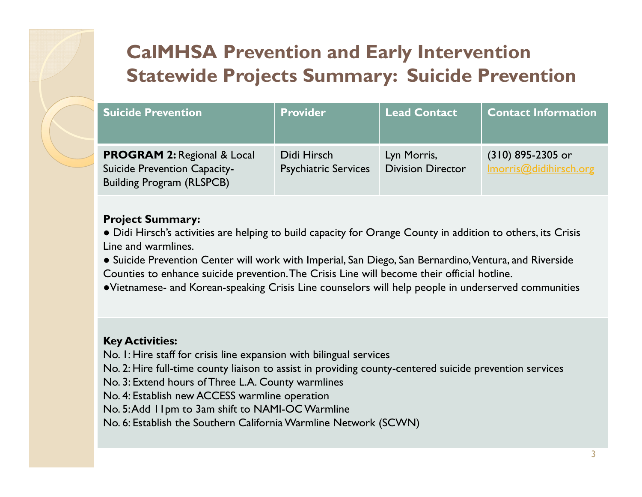| <b>Suicide Prevention</b>                                                                                  | <b>Provider</b>                            | Lead Contact                            | <b>Contact Information</b>                  |
|------------------------------------------------------------------------------------------------------------|--------------------------------------------|-----------------------------------------|---------------------------------------------|
| <b>PROGRAM 2: Regional &amp; Local</b><br>Suicide Prevention Capacity-<br><b>Building Program (RLSPCB)</b> | Didi Hirsch<br><b>Psychiatric Services</b> | Lyn Morris,<br><b>Division Director</b> | (310) 895-2305 or<br>Imorris@didihirsch.org |

#### **Project Summary:**

- Didi Hirsch's activities are helping to build capacity for Orange County in addition to others, its Crisis Line and warmlines.
- Suicide Prevention Center will work with Imperial, San Diego, San Bernardino, Ventura, and Riverside Counties to enhance suicide prevention.The Crisis Line will become their official hotline.
- ●Vietnamese- and Korean-speaking Crisis Line counselors will help people in underserved communities

#### **Key Activities:**

- No. 1: Hire staff for crisis line expansion with bilingual services
- No. 2: Hire full-time county liaison to assist in providing county-centered suicide prevention services
- No. 3: Extend hours of Three L.A. County warmlines
- No. 4: Establish new ACCESS warmline operation
- No. 5: Add 11pm to 3am shift to NAMI-OC Warmline
- No. 6: Establish the Southern California Warmline Network (SCWN)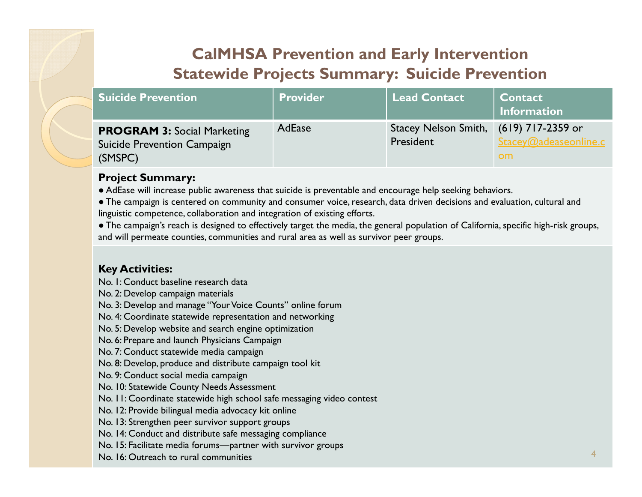| <b>Suicide Prevention</b>                                                    | <b>Provider</b> | <b>Lead Contact</b>                                 | <b>Contact</b><br><b>Information</b> |
|------------------------------------------------------------------------------|-----------------|-----------------------------------------------------|--------------------------------------|
| <b>PROGRAM 3: Social Marketing</b><br>Suicide Prevention Campaign<br>(SMSPC) | <b>AdEase</b>   | Stacey Nelson Smith, (619) 717-2359 or<br>President | Stacey@adeaseonline.c<br><u>om</u>   |

#### **Project Summary:**

● AdEase will increase public awareness that suicide is preventable and encourage help seeking behaviors.

● The campaign is centered on community and consumer voice, research, data driven decisions and evaluation, cultural and linguistic competence, collaboration and integration of existing efforts.

● The campaign's reach is designed to effectively target the media, the general population of California, specific high-risk groups, and will permeate counties, communities and rural area as well as survivor peer groups.

#### **Key Activities:**

No. 1: Conduct baseline research data

No. 2: Develop campaign materials

No. 3: Develop and manage "Your Voice Counts" online forum

No. 4: Coordinate statewide representation and networking

No. 5: Develop website and search engine optimization

No. 6: Prepare and launch Physicians Campaign

No. 7: Conduct statewide media campaign

No. 8: Develop, produce and distribute campaign tool kit

No. 9: Conduct social media campaign

No. 10: Statewide County Needs Assessment

No. 11: Coordinate statewide high school safe messaging video contest

No. 12: Provide bilingual media advocacy kit online

No. 13: Strengthen peer survivor support groups

No. 14: Conduct and distribute safe messaging compliance

No. 15: Facilitate media forums—partner with survivor groups

No. 16: Outreach to rural communities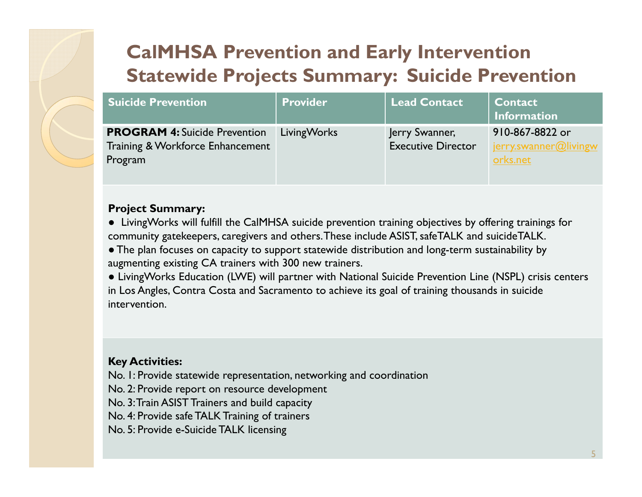| <b>Suicide Prevention</b>                                                           | <b>Provider</b>    | <b>Lead Contact</b>                         | <b>Contact</b><br><b>Information</b>                 |
|-------------------------------------------------------------------------------------|--------------------|---------------------------------------------|------------------------------------------------------|
| <b>PROGRAM 4: Suicide Prevention</b><br>Training & Workforce Enhancement<br>Program | <b>LivingWorks</b> | Jerry Swanner,<br><b>Executive Director</b> | 910-867-8822 or<br>jerry.swanner@livingw<br>orks.net |

#### **Project Summary:**

● LivingWorks will fulfill the CalMHSA suicide prevention training objectives by offering trainings for community gatekeepers, caregivers and others. These include ASIST, safeTALK and suicideTALK.

● The plan focuses on capacity to support statewide distribution and long-term sustainability by augmenting existing CA trainers with 300 new trainers.

● LivingWorks Education (LWE) will partner with National Suicide Prevention Line (NSPL) crisis centers in Los Angles, Contra Costa and Sacramento to achieve its goal of training thousands in suicide intervention.

#### **Key Activities:**

No. 1: Provide statewide representation, networking and coordination

No. 2: Provide report on resource development

No. 3: Train ASIST Trainers and build capacity

No. 4: Provide safe TALK Training of trainers

No. 5: Provide e-Suicide TALK licensing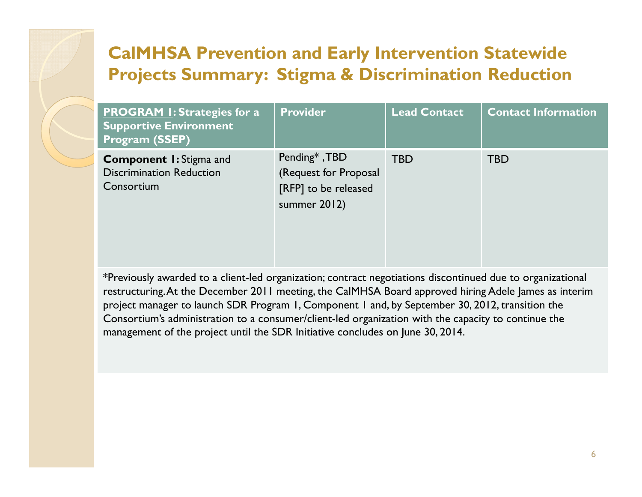| <b>PROGRAM I: Strategies for a</b><br><b>Supportive Environment</b><br><b>Program (SSEP)</b> | <b>Provider</b>                                                                | <b>Lead Contact</b> | <b>Contact Information</b> |
|----------------------------------------------------------------------------------------------|--------------------------------------------------------------------------------|---------------------|----------------------------|
| <b>Component I:</b> Stigma and<br><b>Discrimination Reduction</b><br>Consortium              | Pending*, TBD<br>(Request for Proposal<br>[RFP] to be released<br>summer 2012) | <b>TBD</b>          | <b>TBD</b>                 |

\*Previously awarded to a client-led organization; contract negotiations discontinued due to organizational restructuring. At the December 2011 meeting, the CalMHSA Board approved hiring Adele James as interim project manager to launch SDR Program 1, Component 1 and, by September 30, 2012, transition the Consortium's administration to a consumer/client-led organization with the capacity to continue the management of the project until the SDR Initiative concludes on June 30, 2014.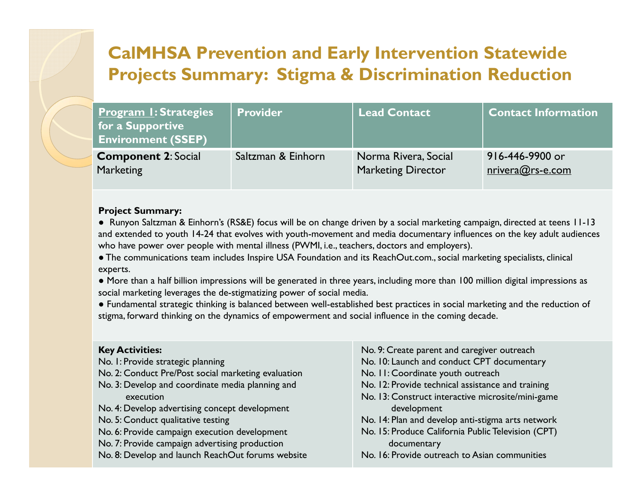| <u> Program I: Strategies</u><br>for a Supportive<br><b>Environment (SSEP)</b> | <b>Provider</b>    | <b>Lead Contact</b>       | <b>Contact Information</b> |
|--------------------------------------------------------------------------------|--------------------|---------------------------|----------------------------|
| <b>Component 2: Social</b>                                                     | Saltzman & Einhorn | Norma Rivera, Social      | 916-446-9900 or            |
| <b>Marketing</b>                                                               |                    | <b>Marketing Director</b> | $n$ rivera@rs-e.com        |

#### **Project Summary:**

● Runyon Saltzman & Einhorn's (RS&E) focus will be on change driven by a social marketing campaign, directed at teens 11-13 and extended to youth 14-24 that evolves with youth-movement and media documentary influences on the key adult audiences who have power over people with mental illness (PWMI, i.e., teachers, doctors and employers).

● The communications team includes Inspire USA Foundation and its ReachOut.com., social marketing specialists, clinical experts.

● More than a half billion impressions will be generated in three years, including more than 100 million digital impressions as social marketing leverages the de-stigmatizing power of social media.

● Fundamental strategic thinking is balanced between well-established best practices in social marketing and the reduction of stigma, forward thinking on the dynamics of empowerment and social influence in the coming decade.

#### **Key Activities:**

- No. 1: Provide strategic planning
- No. 2: Conduct Pre/Post social marketing evaluation
- No. 3: Develop and coordinate media planning and execution
- No. 4: Develop advertising concept development
- No. 5: Conduct qualitative testing
- No. 6: Provide campaign execution development
- No. 7: Provide campaign advertising production
- No. 8: Develop and launch ReachOut forums website
- No. 9: Create parent and caregiver outreach
- No. 10: Launch and conduct CPT documentary
- No. 11: Coordinate youth outreach
- No. 12: Provide technical assistance and training
- No. 13: Construct interactive microsite/mini-game development
- No. 14: Plan and develop anti-stigma arts network
- No. 15: Produce California Public Television (CPT) documentary
- No. 16: Provide outreach to Asian communities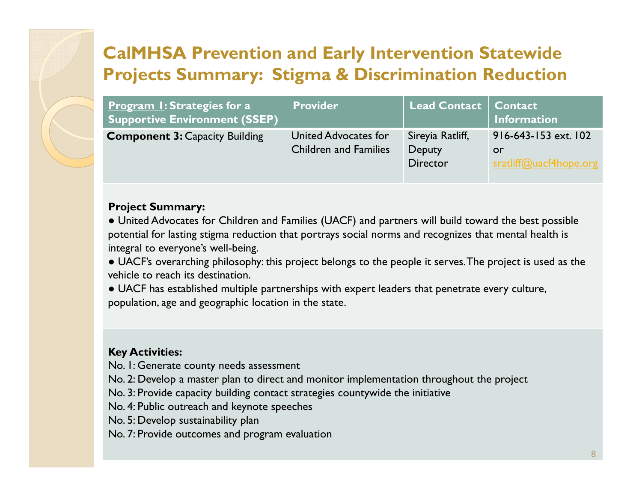| <b>Program I: Strategies for a</b><br><b>Supportive Environment (SSEP)</b> | <b>Provider</b>                                      | Lead Contact                                         | <b>Contact</b><br><b>Information</b>                 |
|----------------------------------------------------------------------------|------------------------------------------------------|------------------------------------------------------|------------------------------------------------------|
| <b>Component 3: Capacity Building</b>                                      | United Advocates for<br><b>Children and Families</b> | Sireyia Ratliff,<br><b>Deputy</b><br><b>Director</b> | 916-643-153 ext. 102<br>or<br>sratliff@uacf4hope.org |

#### **Project Summary:**

● United Advocates for Children and Families (UACF) and partners will build toward the best possible potential for lasting stigma reduction that portrays social norms and recognizes that mental health is integral to everyone's well-being.

● UACF's overarching philosophy: this project belongs to the people it serves. The project is used as the vehicle to reach its destination.

● UACF has established multiple partnerships with expert leaders that penetrate every culture, population, age and geographic location in the state.

### **Key Activities:**

No. 1: Generate county needs assessment

No. 2: Develop a master plan to direct and monitor implementation throughout the project

No. 3: Provide capacity building contact strategies countywide the initiative

No. 4: Public outreach and keynote speeches

No. 5: Develop sustainability plan

No. 7: Provide outcomes and program evaluation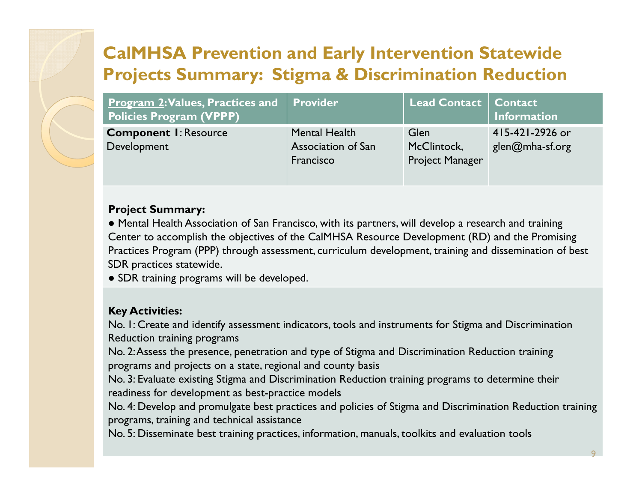| <b>Program 2: Values, Practices and   Provider</b><br><b>Policies Program (VPPP)</b> |                                                         | <b>Lead Contact   Contact  </b>               | <b>Information</b>                 |
|--------------------------------------------------------------------------------------|---------------------------------------------------------|-----------------------------------------------|------------------------------------|
| <b>Component I: Resource</b><br>Development                                          | <b>Mental Health</b><br>Association of San<br>Francisco | <b>Glen</b><br>McClintock,<br>Project Manager | 415-421-2926 or<br>glen@mha-sf.org |

#### **Project Summary:**

● Mental Health Association of San Francisco, with its partners, will develop a research and training Center to accomplish the objectives of the CalMHSA Resource Development (RD) and the Promising Practices Program (PPP) through assessment, curriculum development, training and dissemination of best SDR practices statewide.

● SDR training programs will be developed.

#### **Key Activities:**

No. 1: Create and identify assessment indicators, tools and instruments for Stigma and Discrimination Reduction training programs

No. 2: Assess the presence, penetration and type of Stigma and Discrimination Reduction training programs and projects on a state, regional and county basis

No. 3: Evaluate existing Stigma and Discrimination Reduction training programs to determine their readiness for development as best-practice models

No. 4: Develop and promulgate best practices and policies of Stigma and Discrimination Reduction training programs, training and technical assistance

No. 5: Disseminate best training practices, information, manuals, toolkits and evaluation tools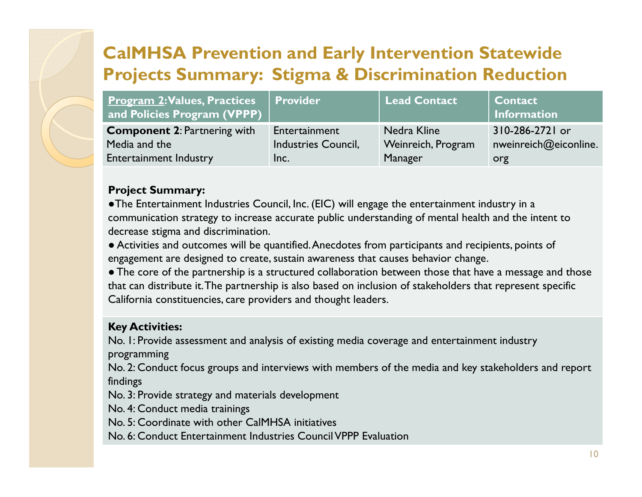| <b>Program 2: Values, Practices   Provider</b><br>and Policies Program (VPPP) |                     | <b>Lead Contact</b> | <b>Contact</b><br><b>Information</b> |
|-------------------------------------------------------------------------------|---------------------|---------------------|--------------------------------------|
| <b>Component 2: Partnering with</b>                                           | Entertainment       | Nedra Kline         | 310-286-2721 or                      |
| Media and the                                                                 | Industries Council, | Weinreich, Program  | nweinreich@eiconline.                |
| <b>Entertainment Industry</b>                                                 | Inc.                | <b>Manager</b>      | org                                  |

#### **Project Summary:**

●The Entertainment Industries Council, Inc. (EIC) will engage the entertainment industry in a communication strategy to increase accurate public understanding of mental health and the intent to decrease stigma and discrimination.

● Activities and outcomes will be quantified. Anecdotes from participants and recipients, points of engagement are designed to create, sustain awareness that causes behavior change.

● The core of the partnership is a structured collaboration between those that have a message and those that can distribute it. The partnership is also based on inclusion of stakeholders that represent specific California constituencies, care providers and thought leaders.

#### **Key Activities:**

No. 1: Provide assessment and analysis of existing media coverage and entertainment industry

programming

No. 2: Conduct focus groups and interviews with members of the media and key stakeholders and report findings

No. 3: Provide strategy and materials development

No. 4: Conduct media trainings

No. 5: Coordinate with other CalMHSA initiatives

No. 6: Conduct Entertainment Industries Council VPPP Evaluation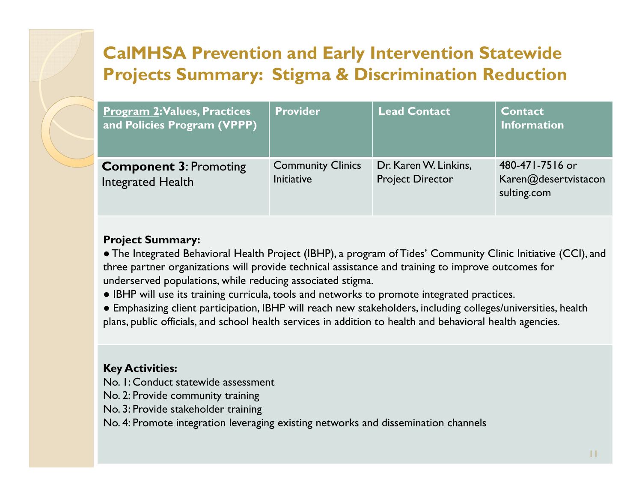| <b>Program 2: Values, Practices</b><br>and Policies Program (VPPP) | <b>Provider</b>                        | <b>Lead Contact</b>                              | <b>Contact</b><br><b>Information</b>                   |
|--------------------------------------------------------------------|----------------------------------------|--------------------------------------------------|--------------------------------------------------------|
| <b>Component 3: Promoting</b><br>Integrated Health                 | <b>Community Clinics</b><br>Initiative | Dr. Karen W. Linkins,<br><b>Project Director</b> | 480-471-7516 or<br>Karen@desertvistacon<br>sulting.com |

#### **Project Summary:**

● The Integrated Behavioral Health Project (IBHP), a program of Tides' Community Clinic Initiative (CCI), and three partner organizations will provide technical assistance and training to improve outcomes for underserved populations, while reducing associated stigma.

● IBHP will use its training curricula, tools and networks to promote integrated practices.

● Emphasizing client participation, IBHP will reach new stakeholders, including colleges/universities, health plans, public officials, and school health services in addition to health and behavioral health agencies.

#### **Key Activities:**

No. 1: Conduct statewide assessment

- No. 2: Provide community training
- No. 3: Provide stakeholder training

No. 4: Promote integration leveraging existing networks and dissemination channels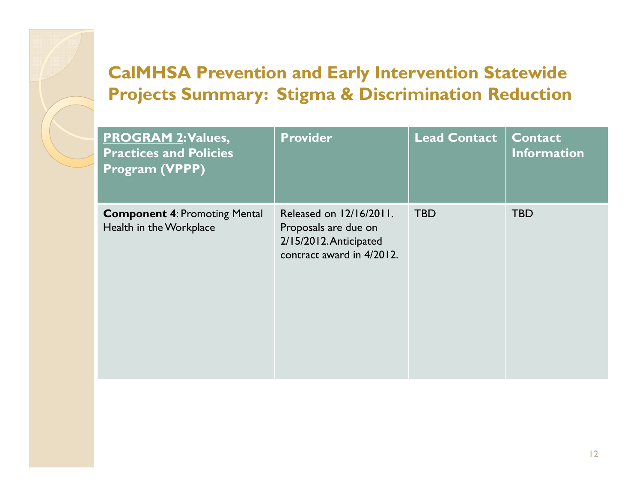| <b>PROGRAM 2: Values,</b><br><b>Practices and Policies</b><br>Program (VPPP) | <b>Provider</b>                                                                                        | <b>Lead Contact</b> | <b>Contact</b><br><b>Information</b> |
|------------------------------------------------------------------------------|--------------------------------------------------------------------------------------------------------|---------------------|--------------------------------------|
| <b>Component 4: Promoting Mental</b><br>Health in the Workplace              | Released on 12/16/2011.<br>Proposals are due on<br>2/15/2012. Anticipated<br>contract award in 4/2012. | <b>TBD</b>          | <b>TBD</b>                           |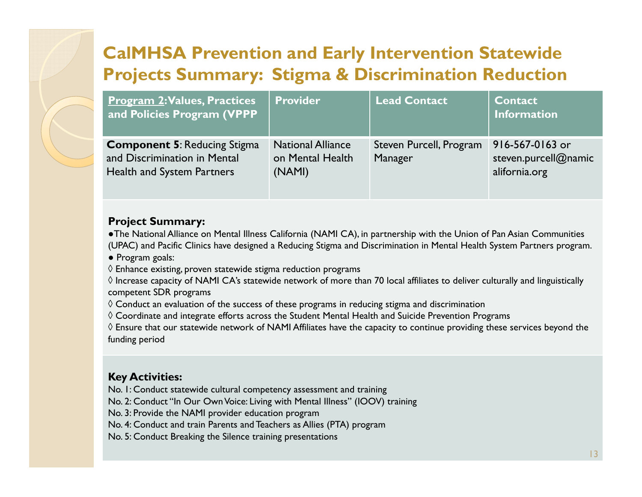| <b>Program 2: Values, Practices</b><br>and Policies Program (VPPP                                        | <b>Provider</b>                                        | <b>Lead Contact</b>                | <b>Contact</b><br><b>Information</b>                     |
|----------------------------------------------------------------------------------------------------------|--------------------------------------------------------|------------------------------------|----------------------------------------------------------|
| <b>Component 5: Reducing Stigma</b><br>and Discrimination in Mental<br><b>Health and System Partners</b> | <b>National Alliance</b><br>on Mental Health<br>(NAMI) | Steven Purcell, Program<br>Manager | 916-567-0163 or<br>steven.purcell@namic<br>alifornia.org |

#### **Project Summary:**

●The National Alliance on Mental Illness California (NAMI CA), in partnership with the Union of Pan Asian Communities (UPAC) and Pacific Clinics have designed a Reducing Stigma and Discrimination in Mental Health System Partners program.

● Program goals:

 $\Diamond$  Enhance existing, proven statewide stigma reduction programs

 $\Diamond$  Increase capacity of NAMI CA's statewide network of more than 70 local affiliates to deliver culturally and linguistically competent SDR programs

 $\lozenge$  Conduct an evaluation of the success of these programs in reducing stigma and discrimination

 $\lozenge$  Coordinate and integrate efforts across the Student Mental Health and Suicide Prevention Programs

 $\Diamond$  Ensure that our statewide network of NAMI Affiliates have the capacity to continue providing these services beyond the funding period

### **Key Activities:**

No. 1: Conduct statewide cultural competency assessment and training

No. 2: Conduct "In Our Own Voice: Living with Mental Illness" (IOOV) training

No. 3: Provide the NAMI provider education program

No. 4: Conduct and train Parents and Teachers as Allies (PTA) program

No. 5: Conduct Breaking the Silence training presentations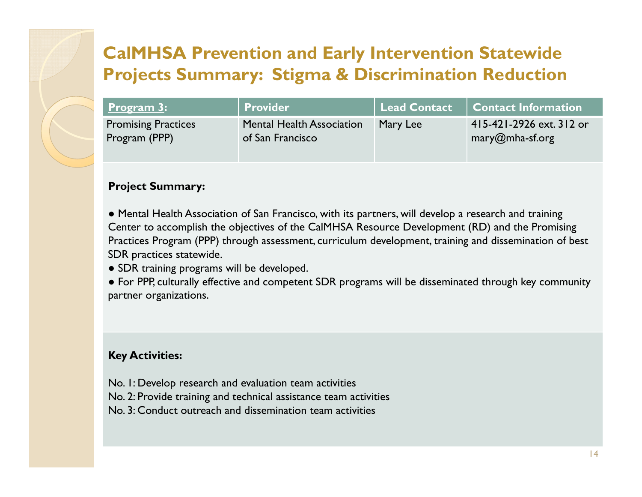| <u>  Program 3:</u>        | Provider                         | Lead Contact | <b>Contact Information</b> |
|----------------------------|----------------------------------|--------------|----------------------------|
| <b>Promising Practices</b> | <b>Mental Health Association</b> | Mary Lee     | 415-421-2926 ext. 312 or   |
| Program (PPP)              | of San Francisco                 |              | mary@mha-sf.org            |

#### **Project Summary:**

● Mental Health Association of San Francisco, with its partners, will develop a research and training Center to accomplish the objectives of the CalMHSA Resource Development (RD) and the Promising Practices Program (PPP) through assessment, curriculum development, training and dissemination of best SDR practices statewide.

● SDR training programs will be developed.

● For PPP, culturally effective and competent SDR programs will be disseminated through key community partner organizations.

#### **Key Activities:**

- No. 1: Develop research and evaluation team activities
- No. 2: Provide training and technical assistance team activities
- No. 3: Conduct outreach and dissemination team activities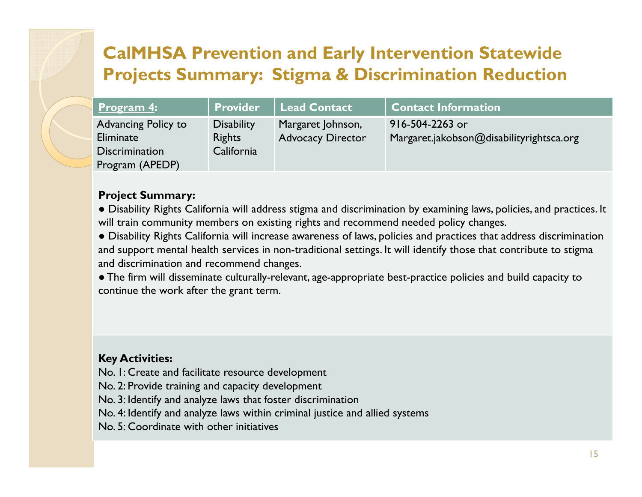| <u>Program 4:</u>     | <b>Provider</b>   | <b>Lead Contact</b>      | <b>Contact Information</b>               |
|-----------------------|-------------------|--------------------------|------------------------------------------|
| Advancing Policy to   | <b>Disability</b> | Margaret Johnson,        | 916-504-2263 or                          |
| Eliminate             | <b>Rights</b>     | <b>Advocacy Director</b> | Margaret.jakobson@disabilityrightsca.org |
| <b>Discrimination</b> | California        |                          |                                          |
| Program (APEDP)       |                   |                          |                                          |

#### **Project Summary:**

● Disability Rights California will address stigma and discrimination by examining laws, policies, and practices. It will train community members on existing rights and recommend needed policy changes.

● Disability Rights California will increase awareness of laws, policies and practices that address discrimination and support mental health services in non-traditional settings. It will identify those that contribute to stigma and discrimination and recommend changes.

● The firm will disseminate culturally-relevant, age-appropriate best-practice policies and build capacity to continue the work after the grant term.

#### **Key Activities:**

No. 1: Create and facilitate resource development

- No. 2: Provide training and capacity development
- No. 3: Identify and analyze laws that foster discrimination
- No. 4: Identify and analyze laws within criminal justice and allied systems
- No. 5: Coordinate with other initiatives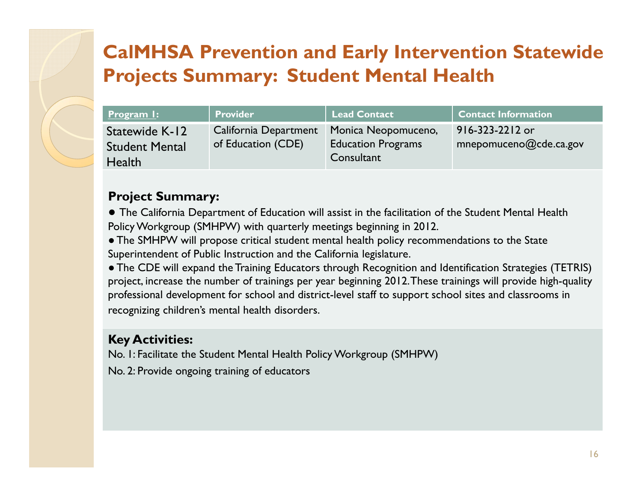| <u>Program I:</u>                                        | Provider                                    | <b>Lead Contact</b>                                            | <b>Contact Information</b>                |
|----------------------------------------------------------|---------------------------------------------|----------------------------------------------------------------|-------------------------------------------|
| Statewide K-12<br><b>Student Mental</b><br><b>Health</b> | California Department<br>of Education (CDE) | Monica Neopomuceno,<br><b>Education Programs</b><br>Consultant | 916-323-2212 or<br>mnepomuceno@cde.ca.gov |

### **Project Summary:**

● The California Department of Education will assist in the facilitation of the Student Mental Health Policy Workgroup (SMHPW) with quarterly meetings beginning in 2012.

● The SMHPW will propose critical student mental health policy recommendations to the State Superintendent of Public Instruction and the California legislature.

● The CDE will expand the Training Educators through Recognition and Identification Strategies (TETRIS) project, increase the number of trainings per year beginning 2012. These trainings will provide high-quality professional development for school and district-level staff to support school sites and classrooms in recognizing children's mental health disorders.

### **Key Activities:**

No. 1: Facilitate the Student Mental Health Policy Workgroup (SMHPW)

No. 2: Provide ongoing training of educators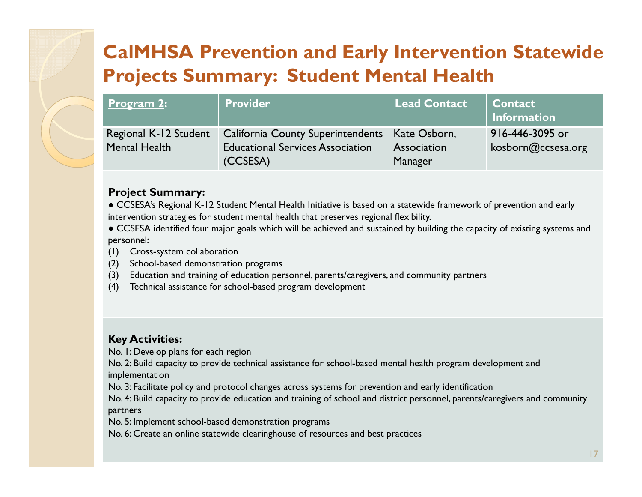| <u>Program 2:</u>     | <b>Provider</b>                                  | <b>Lead Contact</b> | <b>Contact</b><br>Information |
|-----------------------|--------------------------------------------------|---------------------|-------------------------------|
| Regional K-12 Student | California County Superintendents   Kate Osborn, |                     | 916-446-3095 or               |
| <b>Mental Health</b>  | <b>Educational Services Association</b>          | Association         | kosborn@ccsesa.org            |
|                       | (CCSESA)                                         | Manager             |                               |

#### **Project Summary:**

● CCSESA's Regional K-12 Student Mental Health Initiative is based on a statewide framework of prevention and early intervention strategies for student mental health that preserves regional flexibility.

● CCSESA identified four major goals which will be achieved and sustained by building the capacity of existing systems and personnel:

- (1) Cross-system collaboration
- (2) School-based demonstration programs
- (3) Education and training of education personnel, parents/caregivers, and community partners
- (4) Technical assistance for school-based program development

#### **Key Activities:**

No. 1: Develop plans for each region

No. 2: Build capacity to provide technical assistance for school-based mental health program development and implementation

No. 3: Facilitate policy and protocol changes across systems for prevention and early identification

No. 4: Build capacity to provide education and training of school and district personnel, parents/caregivers and community partners

No. 5: Implement school-based demonstration programs

No. 6: Create an online statewide clearinghouse of resources and best practices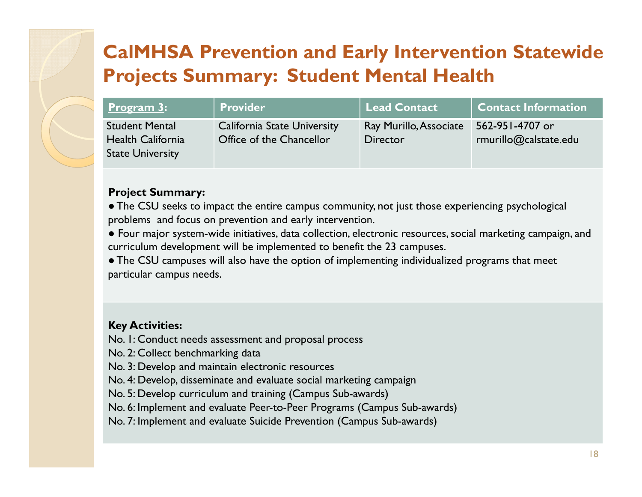| <u>  Program 3:</u>                                                          | <b>Provider</b>                                                | <b>Lead Contact</b>                       | <b>Contact Information</b>               |
|------------------------------------------------------------------------------|----------------------------------------------------------------|-------------------------------------------|------------------------------------------|
| <b>Student Mental</b><br><b>Health California</b><br><b>State University</b> | <b>California State University</b><br>Office of the Chancellor | Ray Murillo, Associate<br><b>Director</b> | 562-951-4707 or<br>rmurillo@calstate.edu |

#### **Project Summary:**

● The CSU seeks to impact the entire campus community, not just those experiencing psychological problems and focus on prevention and early intervention.

● Four major system-wide initiatives, data collection, electronic resources, social marketing campaign, and curriculum development will be implemented to benefit the 23 campuses.

● The CSU campuses will also have the option of implementing individualized programs that meet particular campus needs.

#### **Key Activities:**

- No. 1: Conduct needs assessment and proposal process
- No. 2: Collect benchmarking data
- No. 3: Develop and maintain electronic resources
- No. 4: Develop, disseminate and evaluate social marketing campaign
- No. 5: Develop curriculum and training (Campus Sub-awards)
- No. 6: Implement and evaluate Peer-to-Peer Programs (Campus Sub-awards)
- No. 7: Implement and evaluate Suicide Prevention (Campus Sub-awards)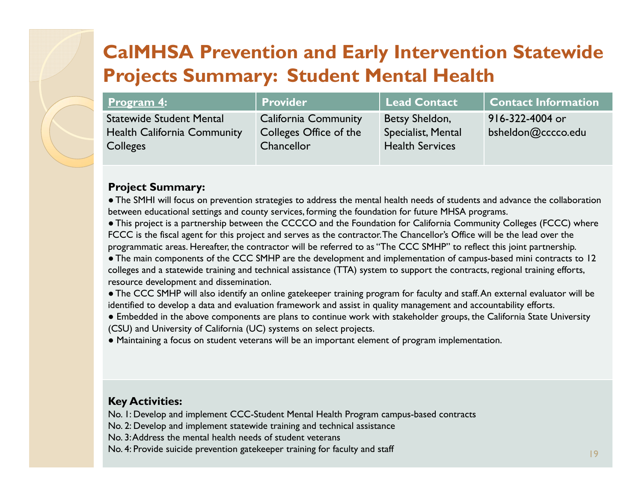| <u>Program 4:</u>                                     | <b>Provider</b>                      | <b>Lead Contact</b>                          | <b>Contact Information</b> |
|-------------------------------------------------------|--------------------------------------|----------------------------------------------|----------------------------|
| <b>Statewide Student Mental</b>                       | <b>California Community</b>          | Betsy Sheldon,                               | 916-322-4004 or            |
| <b>Health California Community</b><br><b>Colleges</b> | Colleges Office of the<br>Chancellor | Specialist, Mental<br><b>Health Services</b> | bsheldon@cccco.edu         |
|                                                       |                                      |                                              |                            |

#### **Project Summary:**

● The SMHI will focus on prevention strategies to address the mental health needs of students and advance the collaboration between educational settings and county services, forming the foundation for future MHSA programs.

● This project is a partnership between the CCCCO and the Foundation for California Community Colleges (FCCC) where FCCC is the fiscal agent for this project and serves as the contractor. The Chancellor's Office will be the lead over the programmatic areas. Hereafter, the contractor will be referred to as "The CCC SMHP" to reflect this joint partnership.

● The main components of the CCC SMHP are the development and implementation of campus-based mini contracts to 12 colleges and a statewide training and technical assistance (TTA) system to support the contracts, regional training efforts, resource development and dissemination.

● The CCC SMHP will also identify an online gatekeeper training program for faculty and staff. An external evaluator will be identified to develop a data and evaluation framework and assist in quality management and accountability efforts.

● Embedded in the above components are plans to continue work with stakeholder groups, the California State University (CSU) and University of California (UC) systems on select projects.

● Maintaining a focus on student veterans will be an important element of program implementation.

#### **Key Activities:**

No. 1: Develop and implement CCC-Student Mental Health Program campus-based contracts

No. 2: Develop and implement statewide training and technical assistance

No. 3: Address the mental health needs of student veterans

No. 4: Provide suicide prevention gatekeeper training for faculty and staff 1998 and 1998 and 1998 and 1998 and 199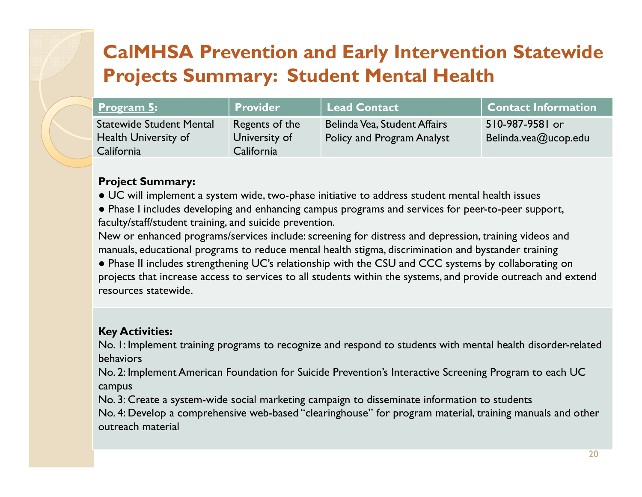| <b>Program 5:</b>                                              | Provider                        | <b>Lead Contact</b>                                               | <b>Contact Information</b>              |
|----------------------------------------------------------------|---------------------------------|-------------------------------------------------------------------|-----------------------------------------|
| <b>Statewide Student Mental</b><br><b>Health University of</b> | Regents of the<br>University of | Belinda Vea, Student Affairs<br><b>Policy and Program Analyst</b> | 510-987-9581 or<br>Belinda.vea@ucop.edu |
| California                                                     | California                      |                                                                   |                                         |

#### **Project Summary:**

- $\bullet$  UC will implement a system wide, two-phase initiative to address student mental health issues
- Phase I includes developing and enhancing campus programs and services for peer-to-peer support, faculty/staff/student training, and suicide prevention.

New or enhanced programs/services include: screening for distress and depression, training videos and manuals, educational programs to reduce mental health stigma, discrimination and bystander training

● Phase II includes strengthening UC's relationship with the CSU and CCC systems by collaborating on projects that increase access to services to all students within the systems, and provide outreach and extend resources statewide.

### **Key Activities:**

No. 1: Implement training programs to recognize and respond to students with mental health disorder-related behaviors

No. 2: Implement American Foundation for Suicide Prevention's Interactive Screening Program to each UC campus

No. 3: Create a system-wide social marketing campaign to disseminate information to students

No. 4: Develop a comprehensive web-based "clearinghouse" for program material, training manuals and other outreach material